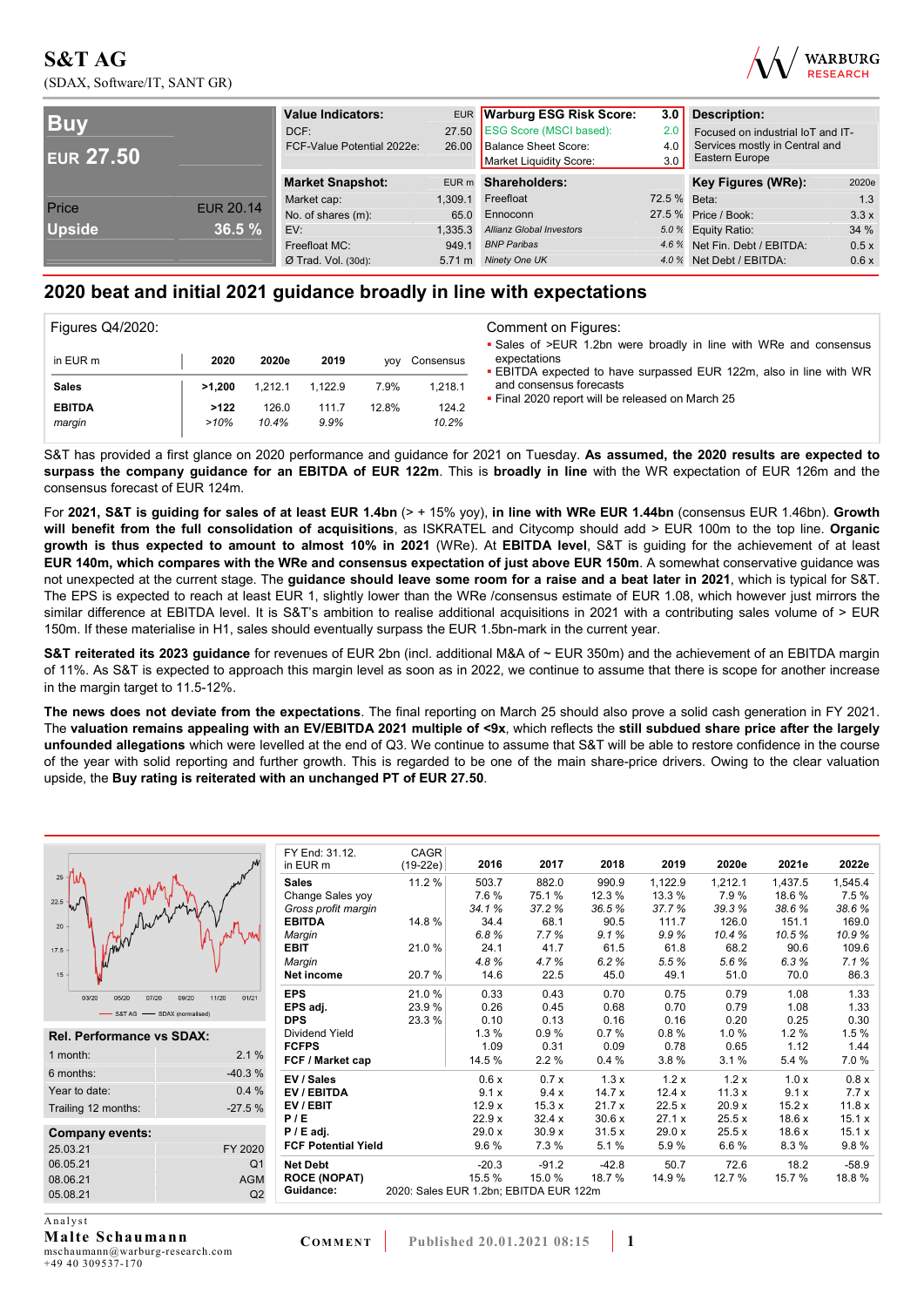## **S&T AG**  (SDAX, Software/IT, SANT GR)



| <b>Buy</b><br><b>EUR 27.50</b> |                  | <b>Value Indicators:</b><br>DCF:<br>FCF-Value Potential 2022e: |         | EUR Warburg ESG Risk Score:<br>27.50 ESG Score (MSCI based):<br>26.00 Balance Sheet Score:<br>Market Liquidity Score: | 3.0<br>2.0<br>4.0<br>3.0 | <b>Description:</b><br>Focused on industrial IoT and IT-<br>Services mostly in Central and<br>Eastern Europe |       |
|--------------------------------|------------------|----------------------------------------------------------------|---------|-----------------------------------------------------------------------------------------------------------------------|--------------------------|--------------------------------------------------------------------------------------------------------------|-------|
|                                |                  | <b>Market Snapshot:</b>                                        |         | EUR m Shareholders:                                                                                                   |                          | Key Figures (WRe):                                                                                           | 2020e |
|                                | <b>EUR 20.14</b> | Market cap:                                                    | 1.309.1 | Freefloat                                                                                                             | 72.5 % Beta:             |                                                                                                              | 1.3   |
| Price                          |                  | No. of shares (m):                                             | 65.0    | Ennoconn                                                                                                              |                          | 27.5 % Price / Book:                                                                                         | 3.3x  |
| <b>Upside</b>                  | 36.5%            | EV:                                                            | 1.335.3 | <b>Allianz Global Investors</b>                                                                                       |                          | 5.0 % Equity Ratio:                                                                                          | 34 %  |
|                                |                  | Freefloat MC:                                                  | 949.1   | <b>BNP Paribas</b>                                                                                                    |                          | 4.6 % Net Fin. Debt / EBITDA:                                                                                | 0.5x  |
|                                |                  | $Ø$ Trad. Vol. (30d):                                          |         | 5.71 m Ninety One UK                                                                                                  |                          | 4.0 % Net Debt / EBITDA:                                                                                     | 0.6x  |

## **2020 beat and initial 2021 guidance broadly in line with expectations**

| <b>Figures Q4/2020:</b> |        |         |         |            |           | Comment on Figures:                                                                                                                                          |
|-------------------------|--------|---------|---------|------------|-----------|--------------------------------------------------------------------------------------------------------------------------------------------------------------|
| in EUR m                | 2020   | 2020e   | 2019    | <b>VOV</b> | Consensus | • Sales of >EUR 1.2bn were broadly in line with WRe and consensus<br>expectations<br><b>EBITDA</b> expected to have surpassed EUR 122m, also in line with WR |
| <b>Sales</b>            | >1.200 | 1.212.1 | 1.122.9 | 7.9%       | 1.218.1   | and consensus forecasts                                                                                                                                      |
| <b>EBITDA</b>           | >122   | 126.0   | 111.7   | 12.8%      | 124.2     | . Final 2020 report will be released on March 25                                                                                                             |
| margin                  | >10%   | 10.4%   | 9.9%    |            | 10.2%     |                                                                                                                                                              |

S&T has provided a first glance on 2020 performance and guidance for 2021 on Tuesday. **As assumed, the 2020 results are expected to surpass the company guidance for an EBITDA of EUR 122m**. This is **broadly in line** with the WR expectation of EUR 126m and the consensus forecast of EUR 124m.

For **2021, S&T is guiding for sales of at least EUR 1.4bn** (> + 15% yoy), **in line with WRe EUR 1.44bn** (consensus EUR 1.46bn). **Growth will benefit from the full consolidation of acquisitions**, as ISKRATEL and Citycomp should add > EUR 100m to the top line. **Organic growth is thus expected to amount to almost 10% in 2021** (WRe). At **EBITDA level**, S&T is guiding for the achievement of at least **EUR 140m, which compares with the WRe and consensus expectation of just above EUR 150m**. A somewhat conservative guidance was not unexpected at the current stage. The **guidance should leave some room for a raise and a beat later in 2021**, which is typical for S&T. The EPS is expected to reach at least EUR 1, slightly lower than the WRe /consensus estimate of EUR 1.08, which however just mirrors the similar difference at EBITDA level. It is S&T's ambition to realise additional acquisitions in 2021 with a contributing sales volume of > EUR 150m. If these materialise in H1, sales should eventually surpass the EUR 1.5bn-mark in the current year.

**S&T reiterated its 2023 guidance** for revenues of EUR 2bn (incl. additional M&A of ~ EUR 350m) and the achievement of an EBITDA margin of 11%. As S&T is expected to approach this margin level as soon as in 2022, we continue to assume that there is scope for another increase in the margin target to 11.5-12%.

**The news does not deviate from the expectations**. The final reporting on March 25 should also prove a solid cash generation in FY 2021. The **valuation remains appealing with an EV/EBITDA 2021 multiple of <9x**, which reflects the **still subdued share price after the largely unfounded allegations** which were levelled at the end of Q3. We continue to assume that S&T will be able to restore confidence in the course of the year with solid reporting and further growth. This is regarded to be one of the main share-price drivers. Owing to the clear valuation upside, the **Buy rating is reiterated with an unchanged PT of EUR 27.50**.

|                                                    | FY End: 31.12.<br>in EUR m | <b>CAGR</b><br>$(19-22e)$              | 2016    | 2017    | 2018    | 2019    | 2020e    | 2021e   | 2022e   |
|----------------------------------------------------|----------------------------|----------------------------------------|---------|---------|---------|---------|----------|---------|---------|
| $25$ $\frac{1}{1}$                                 | <b>Sales</b>               | 11.2 %                                 | 503.7   | 882.0   | 990.9   | 1,122.9 | 1,212.1  | 1,437.5 | 1,545.4 |
|                                                    | Change Sales yoy           |                                        | 7.6 %   | 75.1%   | 12.3 %  | 13.3 %  | 7.9%     | 18.6%   | 7.5%    |
| $22.5 - w^{j}$                                     | Gross profit margin        |                                        | 34.1%   | 37.2%   | 36.5%   | 37.7%   | 39.3%    | 38.6%   | 38.6%   |
| 20                                                 | <b>EBITDA</b>              | 14.8 %                                 | 34.4    | 68.1    | 90.5    | 111.7   | 126.0    | 151.1   | 169.0   |
|                                                    | Margin                     |                                        | 6.8%    | 7.7%    | 9.1%    | 9.9%    | 10.4%    | 10.5%   | 10.9%   |
| 17.5                                               | <b>EBIT</b>                | 21.0%                                  | 24.1    | 41.7    | 61.5    | 61.8    | 68.2     | 90.6    | 109.6   |
|                                                    | Margin                     |                                        | 4.8%    | 4.7%    | 6.2%    | 5.5%    | 5.6%     | 6.3%    | 7.1%    |
| 15                                                 | Net income                 | 20.7%                                  | 14.6    | 22.5    | 45.0    | 49.1    | 51.0     | 70.0    | 86.3    |
| 01/21<br>03/20<br>05/20<br>07/20<br>11/20<br>09/20 | <b>EPS</b>                 | 21.0%                                  | 0.33    | 0.43    | 0.70    | 0.75    | 0.79     | 1.08    | 1.33    |
| -S&T AG -SDAX (normalised)                         | EPS adj.                   | 23.9%                                  | 0.26    | 0.45    | 0.68    | 0.70    | 0.79     | 1.08    | 1.33    |
|                                                    | <b>DPS</b>                 | 23.3 %                                 | 0.10    | 0.13    | 0.16    | 0.16    | 0.20     | 0.25    | 0.30    |
| <b>Rel. Performance vs SDAX:</b>                   | Dividend Yield             |                                        | 1.3%    | 0.9%    | 0.7%    | 0.8%    | $1.0 \%$ | 1.2%    | 1.5%    |
|                                                    | <b>FCFPS</b>               |                                        | 1.09    | 0.31    | 0.09    | 0.78    | 0.65     | 1.12    | 1.44    |
| 2.1%<br>1 month:                                   | FCF / Market cap           |                                        | 14.5 %  | 2.2%    | 0.4%    | 3.8%    | 3.1%     | 5.4 %   | 7.0%    |
| $-40.3%$<br>6 months:                              | EV / Sales                 |                                        | 0.6x    | 0.7x    | 1.3x    | 1.2x    | 1.2x     | 1.0 x   | 0.8 x   |
| 0.4%<br>Year to date:                              | EV / EBITDA                |                                        | 9.1x    | 9.4x    | 14.7x   | 12.4 x  | 11.3x    | 9.1x    | 7.7x    |
| $-27.5%$<br>Trailing 12 months:                    | EV / EBIT                  |                                        | 12.9x   | 15.3x   | 21.7x   | 22.5x   | 20.9x    | 15.2x   | 11.8x   |
|                                                    | P/E                        |                                        | 22.9x   | 32.4x   | 30.6x   | 27.1 x  | 25.5x    | 18.6x   | 15.1 x  |
| Company events:                                    | $P / E$ adj.               |                                        | 29.0x   | 30.9x   | 31.5x   | 29.0x   | 25.5x    | 18.6x   | 15.1x   |
| 25.03.21<br>FY 2020                                | <b>FCF Potential Yield</b> |                                        | 9.6%    | 7.3 %   | 5.1 %   | 5.9%    | 6.6%     | 8.3%    | 9.8%    |
| 06.05.21<br>Q <sub>1</sub>                         | <b>Net Debt</b>            |                                        | $-20.3$ | $-91.2$ | $-42.8$ | 50.7    | 72.6     | 18.2    | $-58.9$ |
| 08.06.21<br><b>AGM</b>                             | <b>ROCE (NOPAT)</b>        |                                        | 15.5 %  | 15.0 %  | 18.7 %  | 14.9%   | 12.7 %   | 15.7 %  | 18.8%   |
| Q2<br>05.08.21                                     | Guidance:                  | 2020: Sales EUR 1.2bn; EBITDA EUR 122m |         |         |         |         |          |         |         |

**Malte Schaumann**  mschaumann@warburg-research.com +49 40 309537-170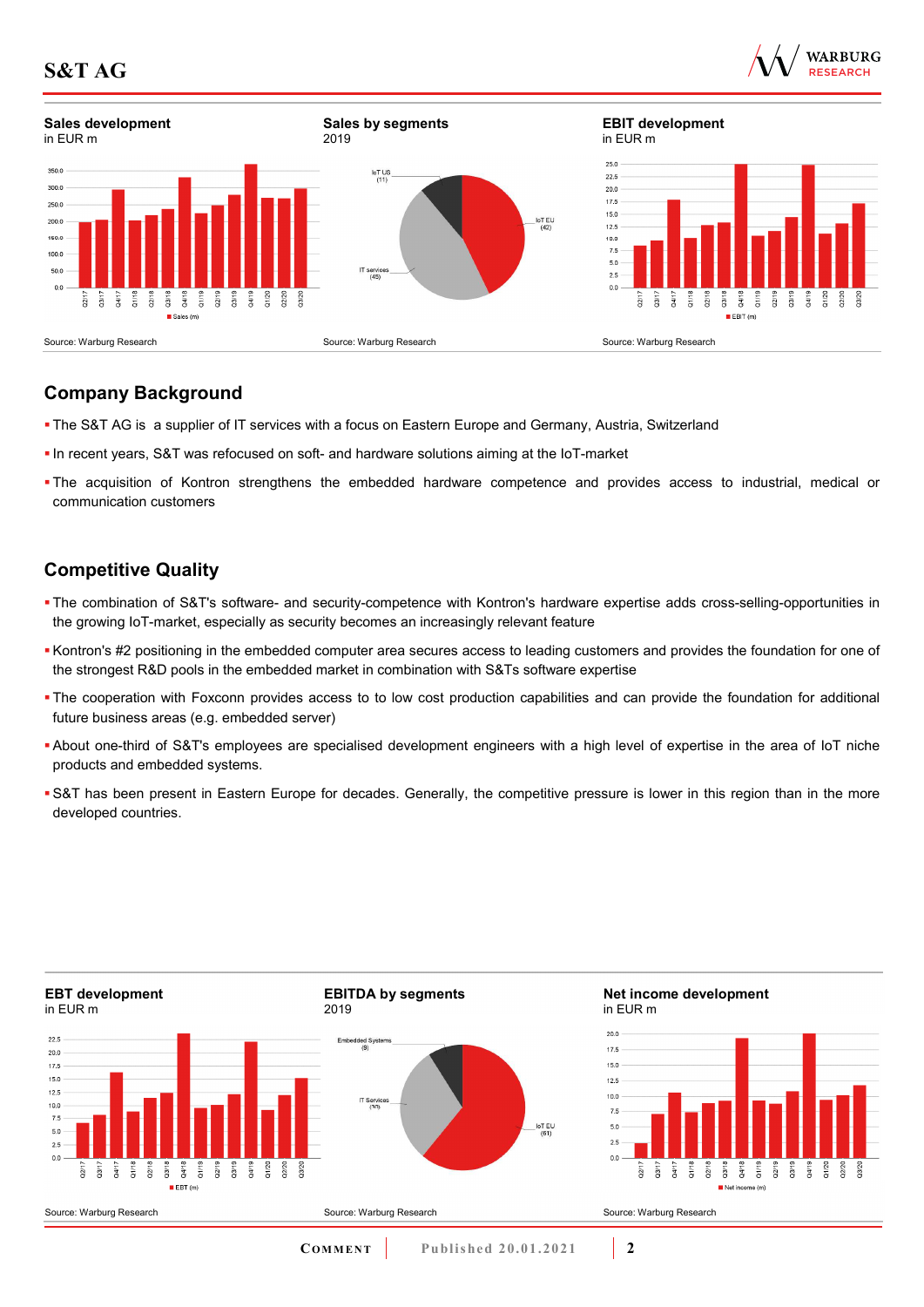

# **Company Background**

- The S&T AG is a supplier of IT services with a focus on Eastern Europe and Germany, Austria, Switzerland
- In recent years, S&T was refocused on soft- and hardware solutions aiming at the IoT-market
- The acquisition of Kontron strengthens the embedded hardware competence and provides access to industrial, medical or communication customers

# **Competitive Quality**

- The combination of S&T's software- and security-competence with Kontron's hardware expertise adds cross-selling-opportunities in the growing IoT-market, especially as security becomes an increasingly relevant feature
- Kontron's #2 positioning in the embedded computer area secures access to leading customers and provides the foundation for one of the strongest R&D pools in the embedded market in combination with S&Ts software expertise
- The cooperation with Foxconn provides access to to low cost production capabilities and can provide the foundation for additional future business areas (e.g. embedded server)
- About one-third of S&T's employees are specialised development engineers with a high level of expertise in the area of IoT niche products and embedded systems.
- S&T has been present in Eastern Europe for decades. Generally, the competitive pressure is lower in this region than in the more developed countries.

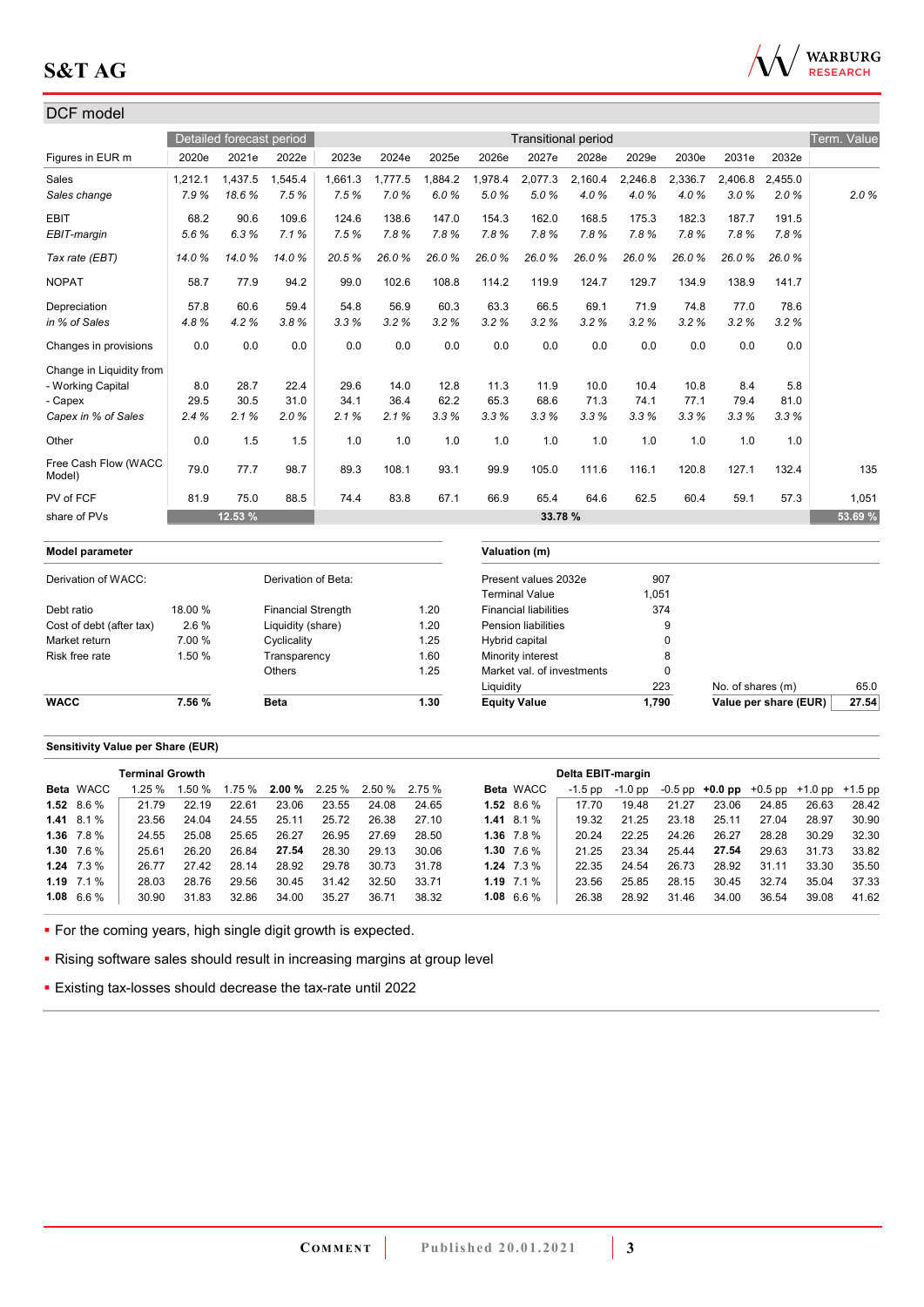

## DCF model Detailed forecast period **Transitional period** Transitional period Transitional period Transitional period Term. Value Figures in EUR m 2020e 2021e 2022e 2023e 2024e 2025e 2026e 2027e 2028e 2029e 2030e 2031e 2032e Sales 1,212.1 1,437.5 1,545.4 1,661.3 1,777.5 1,884.2 1,978.4 2,077.3 2,160.4 2,246.8 2,336.7 2,406.8 2,455.0 *Sales change 7.9 % 18.6 % 7.5 % 7.5 % 7.0 % 6.0 % 5.0 % 5.0 % 4.0 % 4.0 % 4.0 % 3.0 % 2.0 % 2.0 %* EBIT 68.2 90.6 109.6 124.6 138.6 147.0 154.3 162.0 168.5 175.3 182.3 187.7 191.5 *EBIT-margin 5.6 % 6.3 % 7.1 % 7.5 % 7.8 % 7.8 % 7.8 % 7.8 % 7.8 % 7.8 % 7.8 % 7.8 % 7.8 % Tax rate (EBT) 14.0 % 14.0 % 14.0 % 20.5 % 26.0 % 26.0 % 26.0 % 26.0 % 26.0 % 26.0 % 26.0 % 26.0 % 26.0 %*  NOPAT 58.7 77.9 94.2 99.0 102.6 108.8 114.2 119.9 124.7 129.7 134.9 138.9 141.7 Depreciation 57.8 60.6 59.4 54.8 56.9 60.3 63.3 66.5 69.1 71.9 74.8 77.0 78.6 *in % of Sales 4.8 % 4.2 % 3.8 % 3.3 % 3.2 % 3.2 % 3.2 % 3.2 % 3.2 % 3.2 % 3.2 % 3.2 % 3.2 %*  Changes in provisions 0.0 0.0 0.0 0.0 0.0 0.0 0.0 0.0 0.0 0.0 0.0 0.0 0.0 Change in Liquidity from - Working Capital 8.0 28.7 22.4 29.6 14.0 12.8 11.3 11.9 10.0 10.4 10.8 8.4 5.8 - Capex 29.5 30.5 31.0 34.1 36.4 62.2 65.3 68.6 71.3 74.1 77.1 79.4 81.0 *Capex in % of Sales 2.4 % 2.1 % 2.0 % 2.1 % 2.1 % 3.3 % 3.3 % 3.3 % 3.3 % 3.3 % 3.3 % 3.3 % 3.3 %*  Other 1.5 1.0 1.0 1.0 1.0 1.0 1.0 1.0 1.0 1.0 Free Cash Flow (WACC<br>Model) 1100 0dsh116w (w/h0O | 79.0 77.7 98.7 | 89.3 108.1 93.1 99.9 105.0 111.6 116.1 120.8 127.1 132.4 | 135<br>Model) PV of FCF 81.9 75.0 88.5 74.4 83.8 67.1 66.9 65.4 64.6 62.5 60.4 59.1 57.3 1,051 share of PVs **12.53 % 33.78 % 53.69 % Model parameter Valuation (m)** Derivation of WACC: Derivation of Beta: Present values 2032e 907 Terminal Value 1.051 Debt ratio 18.00 % Financial Strength 1.20 Financial liabilities 374 Cost of debt (after tax) 2.6 % Liquidity (share) 1.20 Pension liabilities 9 Market return 7.00 % Cyclicality 1.25 Hybrid capital 0 0 Risk free rate 1.50 % Transparency 1.60 Minority interest 8<br>Others 1.25 Market val. of investments 0 Others 2.25 Market val. of investments Liquidity 223 No. of shares (m) 65.0 **WACC 7.56 % Beta 1.30 Equity Value 1,790 Value per share (EUR) 27.54**

#### **Sensitivity Value per Share (EUR)**

|                   | <b>Terminal Growth</b> |        |       |       |                                      |       |       |                |                  | Delta EBIT-margin |           |       |       |       |                                                   |       |
|-------------------|------------------------|--------|-------|-------|--------------------------------------|-------|-------|----------------|------------------|-------------------|-----------|-------|-------|-------|---------------------------------------------------|-------|
| Beta WACC         | 1.25%                  | 1.50 % |       |       | $1.75\%$ 2.00 % 2.25 % 2.50 % 2.75 % |       |       |                | <b>Beta</b> WACC | $-1.5$ pp         | $-1.0$ pp |       |       |       | $-0.5$ pp $+0.0$ pp $+0.5$ pp $+1.0$ pp $+1.5$ pp |       |
| $1.52$ 8.6 %      | 21.79                  | 22.19  | 22.61 | 23.06 | 23.55                                | 24.08 | 24.65 | 1.52 $8.6\%$   |                  | 17.70             | 19.48     | 21.27 | 23.06 | 24.85 | 26.63                                             | 28.42 |
| $1.41 \t8.1\%$    | 23.56                  | 24.04  | 24.55 | 25.11 | 25.72                                | 26.38 | 27.10 | $1.41 \t8.1\%$ |                  | 19.32             | 21.25     | 23.18 | 25.11 | 27.04 | 28.97                                             | 30.90 |
| $1.36$ 7.8 %      | 24.55                  | 25.08  | 25.65 | 26.27 | 26.95                                | 27.69 | 28.50 |                | 1.36 $7.8\%$     | 20.24             | 22.25     | 24.26 | 26.27 | 28.28 | 30.29                                             | 32.30 |
| 1.30 $7.6\%$      | 25.61                  | 26.20  | 26.84 | 27.54 | 28.30                                | 29.13 | 30.06 | 1.30 $7.6\%$   |                  | 21 25             | 23.34     | 25.44 | 27.54 | 29.63 | 31.73                                             | 33.82 |
| $1.24$ $7.3\%$    | 26.77                  | 27.42  | 28.14 | 28.92 | 29.78                                | 30.73 | 31.78 | $1.24$ $7.3\%$ |                  | 22.35             | 24.54     | 26.73 | 28.92 | 31.11 | 33.30                                             | 35.50 |
| 1.19 $7.1\%$      | 28.03                  | 28.76  | 29.56 | 30.45 | 31.42                                | 32.50 | 33.71 | 1.19 $7.1\%$   |                  | 23.56             | 25.85     | 28.15 | 30.45 | 32.74 | 35.04                                             | 37.33 |
| $1.08\quad 6.6\%$ | 30.90                  | 31.83  | 32.86 | 34.00 | 35.27                                | 36.71 | 38.32 | 1.08 $6.6\%$   |                  | 26.38             | 28.92     | 31.46 | 34.00 | 36.54 | 39.08                                             | 41.62 |

• For the coming years, high single digit growth is expected.

**Rising software sales should result in increasing margins at group level** 

Existing tax-losses should decrease the tax-rate until 2022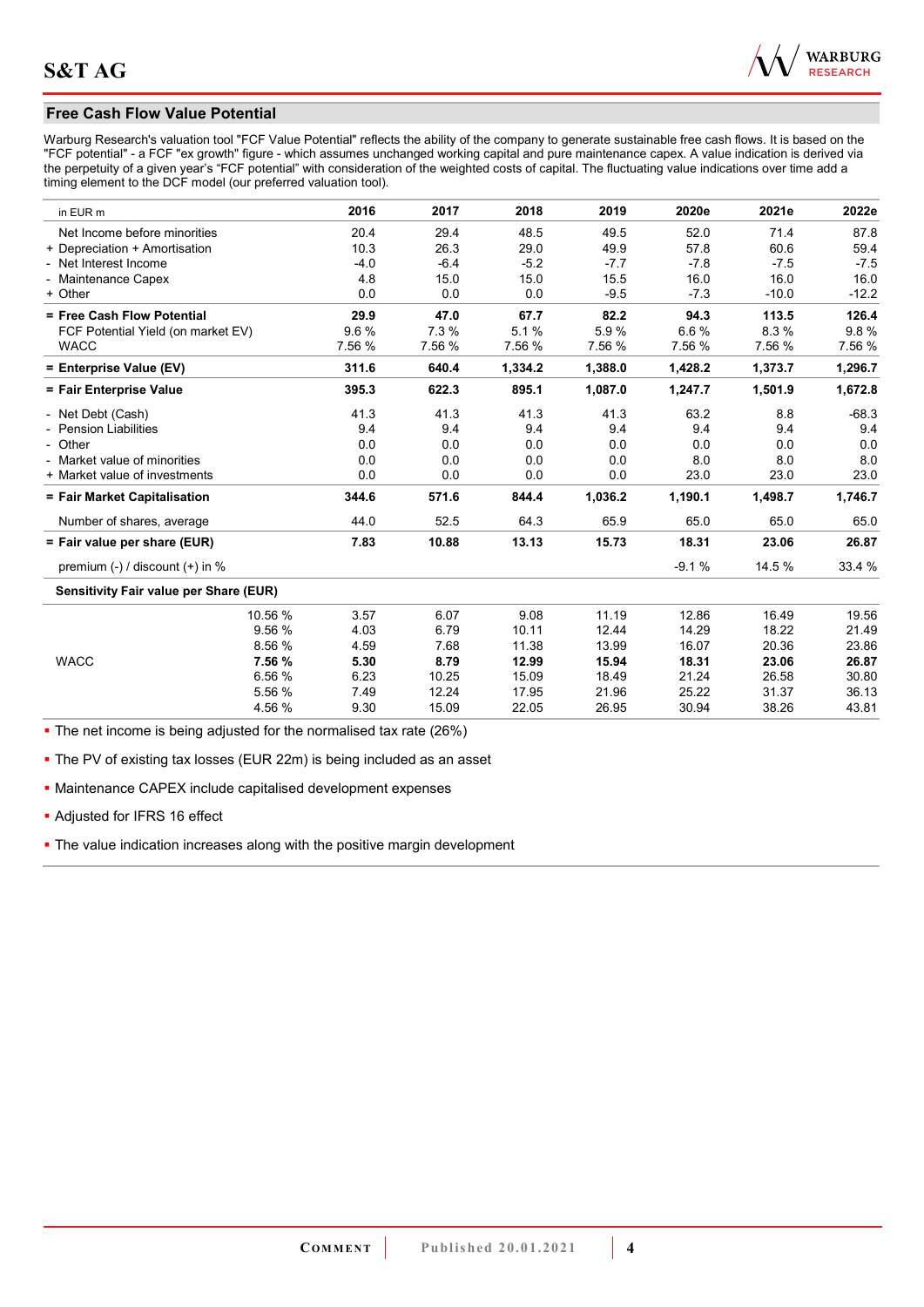

## **Free Cash Flow Value Potential**

Warburg Research's valuation tool "FCF Value Potential" reflects the ability of the company to generate sustainable free cash flows. It is based on the "FCF potential" - a FCF "ex growth" figure - which assumes unchanged working capital and pure maintenance capex. A value indication is derived via the perpetuity of a given year's "FCF potential" with consideration of the weighted costs of capital. The fluctuating value indications over time add a timing element to the DCF model (our preferred valuation tool).

| in EUR m                               | 2016   | 2017   | 2018    | 2019    | 2020e   | 2021e   | 2022e   |
|----------------------------------------|--------|--------|---------|---------|---------|---------|---------|
| Net Income before minorities           | 20.4   | 29.4   | 48.5    | 49.5    | 52.0    | 71.4    | 87.8    |
| + Depreciation + Amortisation          | 10.3   | 26.3   | 29.0    | 49.9    | 57.8    | 60.6    | 59.4    |
| - Net Interest Income                  | $-4.0$ | $-6.4$ | $-5.2$  | $-7.7$  | $-7.8$  | $-7.5$  | $-7.5$  |
| - Maintenance Capex                    | 4.8    | 15.0   | 15.0    | 15.5    | 16.0    | 16.0    | 16.0    |
| + Other                                | 0.0    | 0.0    | 0.0     | $-9.5$  | $-7.3$  | $-10.0$ | $-12.2$ |
| = Free Cash Flow Potential             | 29.9   | 47.0   | 67.7    | 82.2    | 94.3    | 113.5   | 126.4   |
| FCF Potential Yield (on market EV)     | 9.6%   | 7.3 %  | 5.1%    | 5.9%    | 6.6%    | 8.3%    | 9.8%    |
| <b>WACC</b>                            | 7.56 % | 7.56 % | 7.56 %  | 7.56 %  | 7.56 %  | 7.56 %  | 7.56 %  |
| = Enterprise Value (EV)                | 311.6  | 640.4  | 1,334.2 | 1,388.0 | 1,428.2 | 1,373.7 | 1,296.7 |
| = Fair Enterprise Value                | 395.3  | 622.3  | 895.1   | 1,087.0 | 1,247.7 | 1,501.9 | 1,672.8 |
| - Net Debt (Cash)                      | 41.3   | 41.3   | 41.3    | 41.3    | 63.2    | 8.8     | $-68.3$ |
| - Pension Liabilities                  | 9.4    | 9.4    | 9.4     | 9.4     | 9.4     | 9.4     | 9.4     |
| - Other                                | 0.0    | 0.0    | 0.0     | 0.0     | 0.0     | 0.0     | 0.0     |
| - Market value of minorities           | 0.0    | 0.0    | 0.0     | 0.0     | 8.0     | 8.0     | 8.0     |
| + Market value of investments          | 0.0    | 0.0    | 0.0     | 0.0     | 23.0    | 23.0    | 23.0    |
| = Fair Market Capitalisation           | 344.6  | 571.6  | 844.4   | 1,036.2 | 1,190.1 | 1,498.7 | 1,746.7 |
| Number of shares, average              | 44.0   | 52.5   | 64.3    | 65.9    | 65.0    | 65.0    | 65.0    |
| = Fair value per share (EUR)           | 7.83   | 10.88  | 13.13   | 15.73   | 18.31   | 23.06   | 26.87   |
| premium $(-)$ / discount $(+)$ in %    |        |        |         |         | $-9.1%$ | 14.5 %  | 33.4 %  |
| Sensitivity Fair value per Share (EUR) |        |        |         |         |         |         |         |
| 10.56 %                                | 3.57   | 6.07   | 9.08    | 11.19   | 12.86   | 16.49   | 19.56   |
| 9.56 %                                 | 4.03   | 6.79   | 10.11   | 12.44   | 14.29   | 18.22   | 21.49   |
| 8.56 %                                 | 4.59   | 7.68   | 11.38   | 13.99   | 16.07   | 20.36   | 23.86   |
| <b>WACC</b><br>7.56 %                  | 5.30   | 8.79   | 12.99   | 15.94   | 18.31   | 23.06   | 26.87   |
| 6.56 %                                 | 6.23   | 10.25  | 15.09   | 18.49   | 21.24   | 26.58   | 30.80   |
| 5.56 %                                 | 7.49   | 12.24  | 17.95   | 21.96   | 25.22   | 31.37   | 36.13   |
| 4.56 %                                 | 9.30   | 15.09  | 22.05   | 26.95   | 30.94   | 38.26   | 43.81   |

• The net income is being adjusted for the normalised tax rate (26%)

**The PV of existing tax losses (EUR 22m) is being included as an asset** 

Maintenance CAPEX include capitalised development expenses

Adjusted for IFRS 16 effect

• The value indication increases along with the positive margin development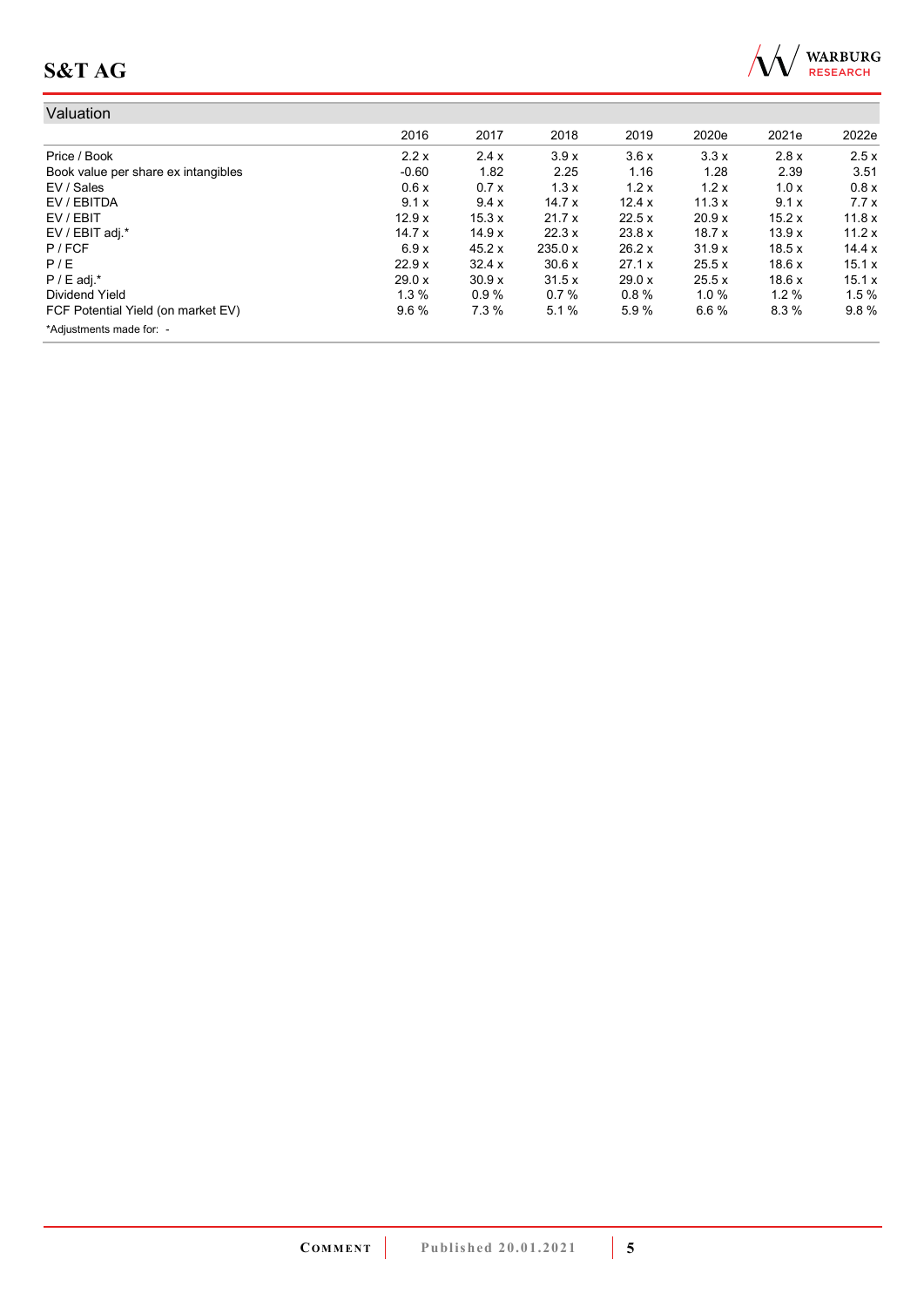

| Valuation                           |          |        |         |        |          |       |        |
|-------------------------------------|----------|--------|---------|--------|----------|-------|--------|
|                                     | 2016     | 2017   | 2018    | 2019   | 2020e    | 2021e | 2022e  |
| Price / Book                        | 2.2x     | 2.4x   | 3.9x    | 3.6x   | 3.3x     | 2.8x  | 2.5x   |
| Book value per share ex intangibles | $-0.60$  | 1.82   | 2.25    | 1.16   | 1.28     | 2.39  | 3.51   |
| EV / Sales                          | 0.6x     | 0.7x   | 1.3x    | 1.2x   | 1.2x     | 1.0x  | 0.8x   |
| EV / EBITDA                         | 9.1x     | 9.4x   | 14.7x   | 12.4 x | 11.3x    | 9.1x  | 7.7x   |
| EV / EBIT                           | 12.9x    | 15.3 x | 21.7x   | 22.5x  | 20.9 x   | 15.2x | 11.8x  |
| EV / EBIT adj.*                     | 14.7x    | 14.9x  | 22.3x   | 23.8 x | 18.7x    | 13.9x | 11.2x  |
| P / FCF                             | 6.9x     | 45.2 x | 235.0 x | 26.2 x | 31.9x    | 18.5x | 14.4 x |
| P/E                                 | 22.9x    | 32.4 x | 30.6x   | 27.1 x | 25.5 x   | 18.6x | 15.1x  |
| $P / E$ adj. $*$                    | 29.0 x   | 30.9 x | 31.5x   | 29.0 x | 25.5 x   | 18.6x | 15.1x  |
| Dividend Yield                      | $1.3 \%$ | 0.9%   | 0.7%    | 0.8%   | $1.0 \%$ | 1.2%  | 1.5%   |
| FCF Potential Yield (on market EV)  | $9.6\%$  | 7.3 %  | 5.1%    | 5.9%   | 6.6%     | 8.3%  | 9.8%   |
| *Adjustments made for: -            |          |        |         |        |          |       |        |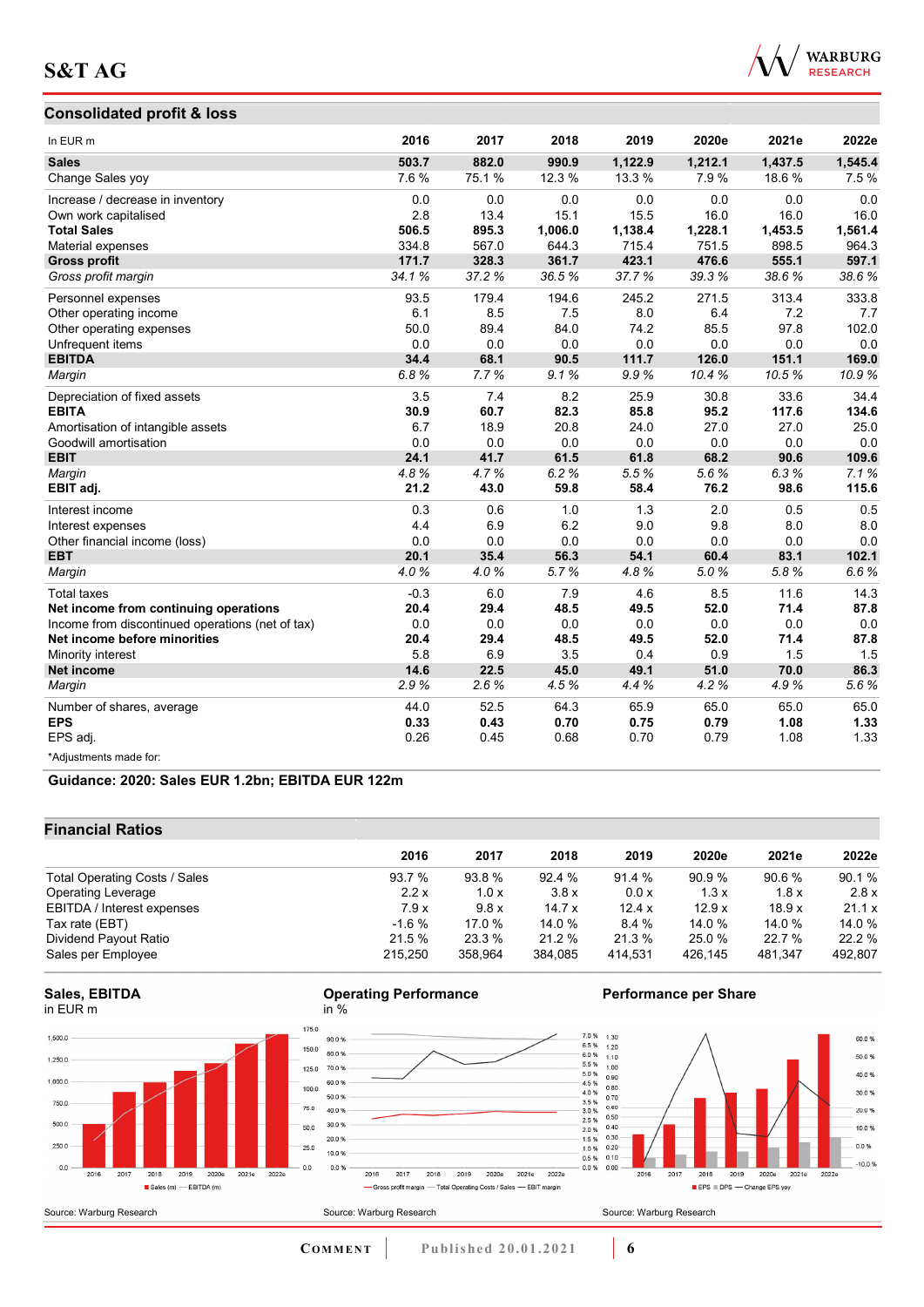## **Consolidated profit & loss**



| In EUR m                                         | 2016   | 2017  | 2018    | 2019    | 2020e   | 2021e   | 2022e   |
|--------------------------------------------------|--------|-------|---------|---------|---------|---------|---------|
| <b>Sales</b>                                     | 503.7  | 882.0 | 990.9   | 1,122.9 | 1,212.1 | 1,437.5 | 1,545.4 |
| Change Sales yoy                                 | 7.6%   | 75.1% | 12.3 %  | 13.3 %  | 7.9%    | 18.6%   | 7.5%    |
| Increase / decrease in inventory                 | 0.0    | 0.0   | 0.0     | 0.0     | 0.0     | 0.0     | 0.0     |
| Own work capitalised                             | 2.8    | 13.4  | 15.1    | 15.5    | 16.0    | 16.0    | 16.0    |
| <b>Total Sales</b>                               | 506.5  | 895.3 | 1.006.0 | 1,138.4 | 1,228.1 | 1,453.5 | 1,561.4 |
| Material expenses                                | 334.8  | 567.0 | 644.3   | 715.4   | 751.5   | 898.5   | 964.3   |
| <b>Gross profit</b>                              | 171.7  | 328.3 | 361.7   | 423.1   | 476.6   | 555.1   | 597.1   |
| Gross profit margin                              | 34.1%  | 37.2% | 36.5%   | 37.7%   | 39.3%   | 38.6%   | 38.6%   |
| Personnel expenses                               | 93.5   | 179.4 | 194.6   | 245.2   | 271.5   | 313.4   | 333.8   |
| Other operating income                           | 6.1    | 8.5   | 7.5     | 8.0     | 6.4     | 7.2     | 7.7     |
| Other operating expenses                         | 50.0   | 89.4  | 84.0    | 74.2    | 85.5    | 97.8    | 102.0   |
| Unfrequent items                                 | 0.0    | 0.0   | 0.0     | 0.0     | 0.0     | 0.0     | 0.0     |
| <b>EBITDA</b>                                    | 34.4   | 68.1  | 90.5    | 111.7   | 126.0   | 151.1   | 169.0   |
| Margin                                           | 6.8%   | 7.7%  | 9.1%    | 9.9%    | 10.4%   | 10.5%   | 10.9%   |
| Depreciation of fixed assets                     | 3.5    | 7.4   | 8.2     | 25.9    | 30.8    | 33.6    | 34.4    |
| <b>EBITA</b>                                     | 30.9   | 60.7  | 82.3    | 85.8    | 95.2    | 117.6   | 134.6   |
| Amortisation of intangible assets                | 6.7    | 18.9  | 20.8    | 24.0    | 27.0    | 27.0    | 25.0    |
| Goodwill amortisation                            | 0.0    | 0.0   | 0.0     | 0.0     | 0.0     | 0.0     | 0.0     |
| <b>EBIT</b>                                      | 24.1   | 41.7  | 61.5    | 61.8    | 68.2    | 90.6    | 109.6   |
| Margin                                           | 4.8%   | 4.7%  | 6.2%    | 5.5%    | 5.6%    | 6.3%    | 7.1%    |
| EBIT adj.                                        | 21.2   | 43.0  | 59.8    | 58.4    | 76.2    | 98.6    | 115.6   |
| Interest income                                  | 0.3    | 0.6   | 1.0     | 1.3     | 2.0     | 0.5     | 0.5     |
| Interest expenses                                | 4.4    | 6.9   | 6.2     | 9.0     | 9.8     | 8.0     | 8.0     |
| Other financial income (loss)                    | 0.0    | 0.0   | 0.0     | 0.0     | 0.0     | 0.0     | 0.0     |
| <b>EBT</b>                                       | 20.1   | 35.4  | 56.3    | 54.1    | 60.4    | 83.1    | 102.1   |
| Margin                                           | 4.0%   | 4.0%  | 5.7%    | 4.8%    | 5.0%    | 5.8%    | 6.6%    |
| <b>Total taxes</b>                               | $-0.3$ | 6.0   | 7.9     | 4.6     | 8.5     | 11.6    | 14.3    |
| Net income from continuing operations            | 20.4   | 29.4  | 48.5    | 49.5    | 52.0    | 71.4    | 87.8    |
| Income from discontinued operations (net of tax) | 0.0    | 0.0   | 0.0     | 0.0     | 0.0     | 0.0     | 0.0     |
| Net income before minorities                     | 20.4   | 29.4  | 48.5    | 49.5    | 52.0    | 71.4    | 87.8    |
| Minority interest                                | 5.8    | 6.9   | 3.5     | 0.4     | 0.9     | 1.5     | 1.5     |
| Net income                                       | 14.6   | 22.5  | 45.0    | 49.1    | 51.0    | 70.0    | 86.3    |
| Margin                                           | 2.9%   | 2.6%  | 4.5%    | 4.4%    | 4.2%    | 4.9%    | 5.6%    |
| Number of shares, average                        | 44.0   | 52.5  | 64.3    | 65.9    | 65.0    | 65.0    | 65.0    |
| <b>EPS</b>                                       | 0.33   | 0.43  | 0.70    | 0.75    | 0.79    | 1.08    | 1.33    |
| EPS adj.                                         | 0.26   | 0.45  | 0.68    | 0.70    | 0.79    | 1.08    | 1.33    |
| *Adjustments made for:                           |        |       |         |         |         |         |         |

**Guidance: 2020: Sales EUR 1.2bn; EBITDA EUR 122m**

## **Financial Ratios**

|                               | 2016    | 2017    | 2018    | 2019    | 2020e   | 2021e   | 2022e   |
|-------------------------------|---------|---------|---------|---------|---------|---------|---------|
| Total Operating Costs / Sales | 93.7 %  | 93.8 %  | 92.4 %  | 91.4 %  | 90.9 %  | 90.6%   | 90.1%   |
| <b>Operating Leverage</b>     | 2.2x    | 1.0x    | 3.8x    | 0.0 x   | 1.3x    | 1.8x    | 2.8x    |
| EBITDA / Interest expenses    | 7.9x    | 9.8x    | 14.7x   | 12.4x   | 12.9x   | 18.9x   | 21.1 x  |
| Tax rate (EBT)                | $-1.6%$ | 17.0 %  | 14.0 %  | 8.4%    | 14.0 %  | 14.0 %  | 14.0 %  |
| Dividend Payout Ratio         | 21.5 %  | 23.3 %  | 21.2 %  | 21.3%   | 25.0 %  | 22.7 %  | 22.2 %  |
| Sales per Employee            | 215,250 | 358.964 | 384,085 | 414.531 | 426.145 | 481,347 | 492,807 |

**Operating Performance** 





**Performance per Share** 

![](_page_5_Figure_10.jpeg)

in %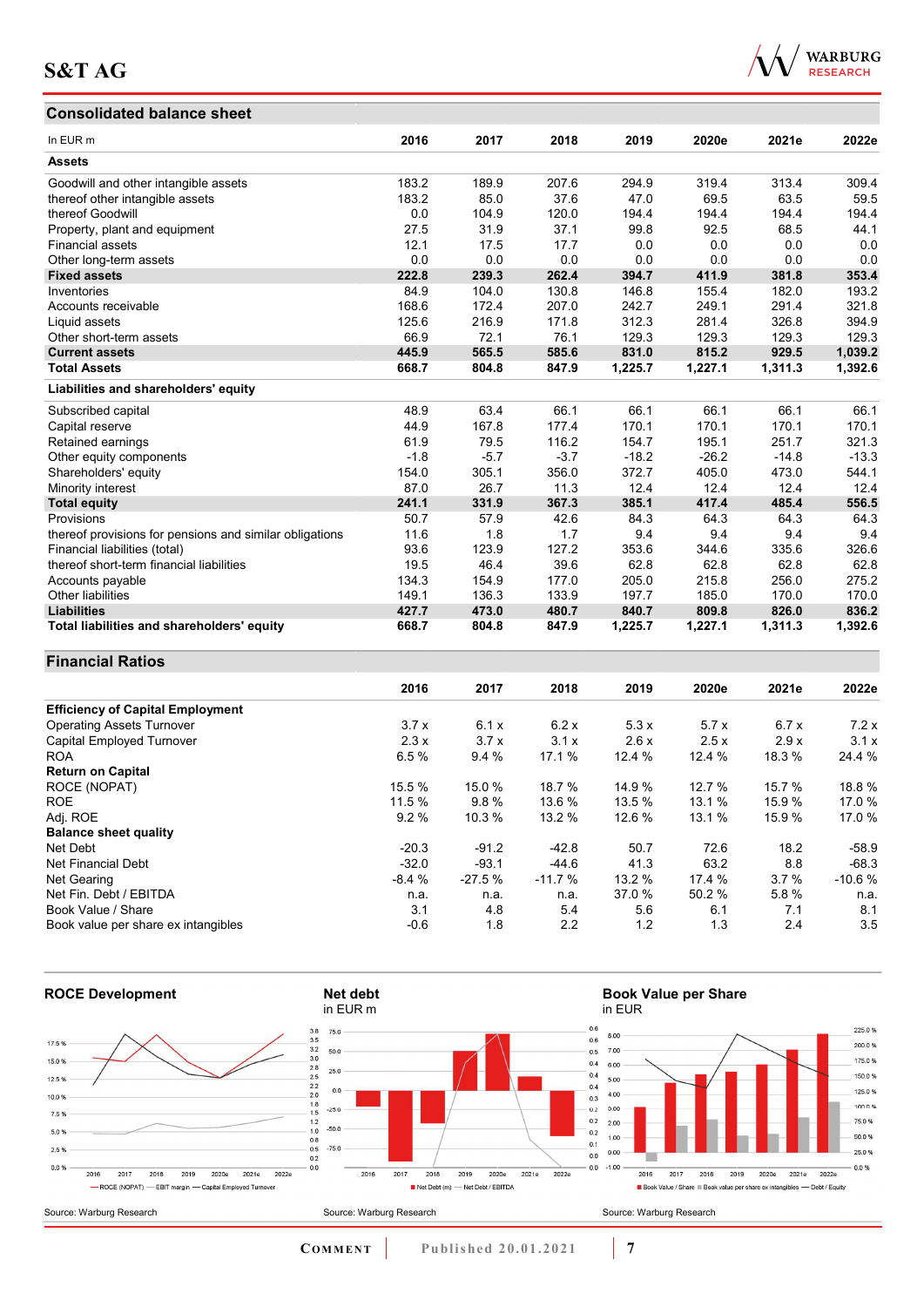#### **Consolidated balance sheet**

![](_page_6_Picture_2.jpeg)

| <b>Consolidated balance sheet</b>                       |        |        |        |         |         |         |         |
|---------------------------------------------------------|--------|--------|--------|---------|---------|---------|---------|
| In EUR <sub>m</sub>                                     | 2016   | 2017   | 2018   | 2019    | 2020e   | 2021e   | 2022e   |
| <b>Assets</b>                                           |        |        |        |         |         |         |         |
| Goodwill and other intangible assets                    | 183.2  | 189.9  | 207.6  | 294.9   | 319.4   | 313.4   | 309.4   |
| thereof other intangible assets                         | 183.2  | 85.0   | 37.6   | 47.0    | 69.5    | 63.5    | 59.5    |
| thereof Goodwill                                        | 0.0    | 104.9  | 120.0  | 194.4   | 194.4   | 194.4   | 194.4   |
| Property, plant and equipment                           | 27.5   | 31.9   | 37.1   | 99.8    | 92.5    | 68.5    | 44.1    |
| <b>Financial assets</b>                                 | 12.1   | 17.5   | 17.7   | 0.0     | 0.0     | 0.0     | 0.0     |
| Other long-term assets                                  | 0.0    | 0.0    | 0.0    | 0.0     | 0.0     | 0.0     | 0.0     |
| <b>Fixed assets</b>                                     | 222.8  | 239.3  | 262.4  | 394.7   | 411.9   | 381.8   | 353.4   |
| Inventories                                             | 84.9   | 104.0  | 130.8  | 146.8   | 155.4   | 182.0   | 193.2   |
| Accounts receivable                                     | 168.6  | 172.4  | 207.0  | 242.7   | 249.1   | 291.4   | 321.8   |
| Liquid assets                                           | 125.6  | 216.9  | 171.8  | 312.3   | 281.4   | 326.8   | 394.9   |
| Other short-term assets                                 | 66.9   | 72.1   | 76.1   | 129.3   | 129.3   | 129.3   | 129.3   |
| <b>Current assets</b>                                   | 445.9  | 565.5  | 585.6  | 831.0   | 815.2   | 929.5   | 1,039.2 |
| <b>Total Assets</b>                                     | 668.7  | 804.8  | 847.9  | 1,225.7 | 1,227.1 | 1,311.3 | 1,392.6 |
| Liabilities and shareholders' equity                    |        |        |        |         |         |         |         |
| Subscribed capital                                      | 48.9   | 63.4   | 66.1   | 66.1    | 66.1    | 66.1    | 66.1    |
| Capital reserve                                         | 44.9   | 167.8  | 177.4  | 170.1   | 170.1   | 170.1   | 170.1   |
| Retained earnings                                       | 61.9   | 79.5   | 116.2  | 154.7   | 195.1   | 251.7   | 321.3   |
| Other equity components                                 | $-1.8$ | $-5.7$ | $-3.7$ | $-18.2$ | $-26.2$ | $-14.8$ | $-13.3$ |
| Shareholders' equity                                    | 154.0  | 305.1  | 356.0  | 372.7   | 405.0   | 473.0   | 544.1   |
| Minority interest                                       | 87.0   | 26.7   | 11.3   | 12.4    | 12.4    | 12.4    | 12.4    |
| <b>Total equity</b>                                     | 241.1  | 331.9  | 367.3  | 385.1   | 417.4   | 485.4   | 556.5   |
| Provisions                                              | 50.7   | 57.9   | 42.6   | 84.3    | 64.3    | 64.3    | 64.3    |
| thereof provisions for pensions and similar obligations | 11.6   | 1.8    | 1.7    | 9.4     | 9.4     | 9.4     | 9.4     |
| Financial liabilities (total)                           | 93.6   | 123.9  | 127.2  | 353.6   | 344.6   | 335.6   | 326.6   |
| thereof short-term financial liabilities                | 19.5   | 46.4   | 39.6   | 62.8    | 62.8    | 62.8    | 62.8    |
| Accounts payable                                        | 134.3  | 154.9  | 177.0  | 205.0   | 215.8   | 256.0   | 275.2   |
| Other liabilities                                       | 149.1  | 136.3  | 133.9  | 197.7   | 185.0   | 170.0   | 170.0   |
| <b>Liabilities</b>                                      | 427.7  | 473.0  | 480.7  | 840.7   | 809.8   | 826.0   | 836.2   |
| Total liabilities and shareholders' equity              | 668.7  | 804.8  | 847.9  | 1,225.7 | 1,227.1 | 1,311.3 | 1,392.6 |

# **Financial Ratios**

|                                         | 2016    | 2017     | 2018     | 2019   | 2020e  | 2021e  | 2022e    |
|-----------------------------------------|---------|----------|----------|--------|--------|--------|----------|
| <b>Efficiency of Capital Employment</b> |         |          |          |        |        |        |          |
| <b>Operating Assets Turnover</b>        | 3.7x    | 6.1x     | 6.2x     | 5.3x   | 5.7x   | 6.7x   | 7.2x     |
| Capital Employed Turnover               | 2.3x    | 3.7x     | 3.1x     | 2.6x   | 2.5x   | 2.9x   | 3.1x     |
| <b>ROA</b>                              | 6.5%    | 9.4%     | 17.1 %   | 12.4 % | 12.4 % | 18.3 % | 24.4 %   |
| <b>Return on Capital</b>                |         |          |          |        |        |        |          |
| ROCE (NOPAT)                            | 15.5 %  | 15.0 %   | 18.7 %   | 14.9 % | 12.7 % | 15.7 % | 18.8%    |
| <b>ROE</b>                              | 11.5 %  | 9.8%     | 13.6 %   | 13.5 % | 13.1 % | 15.9 % | 17.0 %   |
| Adj. ROE                                | 9.2%    | 10.3 %   | 13.2 %   | 12.6 % | 13.1 % | 15.9 % | 17.0 %   |
| <b>Balance sheet quality</b>            |         |          |          |        |        |        |          |
| Net Debt                                | $-20.3$ | $-91.2$  | $-42.8$  | 50.7   | 72.6   | 18.2   | $-58.9$  |
| Net Financial Debt                      | $-32.0$ | $-93.1$  | $-44.6$  | 41.3   | 63.2   | 8.8    | $-68.3$  |
| Net Gearing                             | $-8.4%$ | $-27.5%$ | $-11.7%$ | 13.2 % | 17.4 % | 3.7%   | $-10.6%$ |
| Net Fin. Debt / EBITDA                  | n.a.    | n.a.     | n.a.     | 37.0 % | 50.2 % | 5.8%   | n.a.     |
| Book Value / Share                      | 3.1     | 4.8      | 5.4      | 5.6    | 6.1    | 7.1    | 8.1      |
| Book value per share ex intangibles     | $-0.6$  | 1.8      | 2.2      | 1.2    | 1.3    | 2.4    | 3.5      |

![](_page_6_Figure_6.jpeg)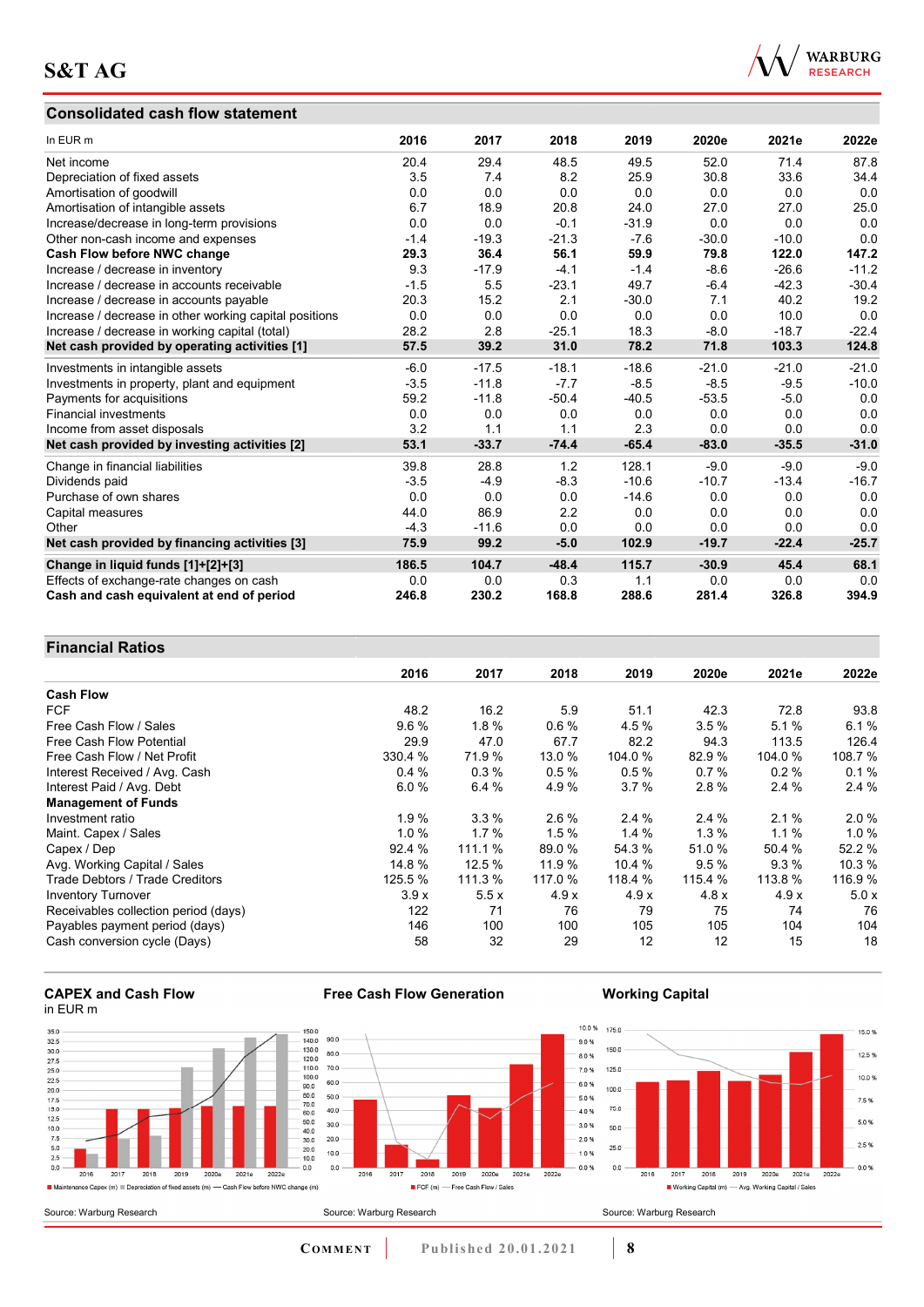## **Consolidated cash flow statement**

![](_page_7_Picture_2.jpeg)

| In EUR m                                               | 2016   | 2017    | 2018    | 2019    | 2020e   | 2021e   | 2022e   |
|--------------------------------------------------------|--------|---------|---------|---------|---------|---------|---------|
| Net income                                             | 20.4   | 29.4    | 48.5    | 49.5    | 52.0    | 71.4    | 87.8    |
| Depreciation of fixed assets                           | 3.5    | 7.4     | 8.2     | 25.9    | 30.8    | 33.6    | 34.4    |
| Amortisation of goodwill                               | 0.0    | 0.0     | 0.0     | 0.0     | 0.0     | 0.0     | 0.0     |
| Amortisation of intangible assets                      | 6.7    | 18.9    | 20.8    | 24.0    | 27.0    | 27.0    | 25.0    |
| Increase/decrease in long-term provisions              | 0.0    | 0.0     | $-0.1$  | $-31.9$ | 0.0     | 0.0     | 0.0     |
| Other non-cash income and expenses                     | $-1.4$ | $-19.3$ | $-21.3$ | $-7.6$  | $-30.0$ | $-10.0$ | 0.0     |
| Cash Flow before NWC change                            | 29.3   | 36.4    | 56.1    | 59.9    | 79.8    | 122.0   | 147.2   |
| Increase / decrease in inventory                       | 9.3    | $-17.9$ | $-4.1$  | $-1.4$  | $-8.6$  | $-26.6$ | $-11.2$ |
| Increase / decrease in accounts receivable             | $-1.5$ | 5.5     | $-23.1$ | 49.7    | $-6.4$  | $-42.3$ | $-30.4$ |
| Increase / decrease in accounts payable                | 20.3   | 15.2    | 2.1     | $-30.0$ | 7.1     | 40.2    | 19.2    |
| Increase / decrease in other working capital positions | 0.0    | 0.0     | 0.0     | 0.0     | 0.0     | 10.0    | 0.0     |
| Increase / decrease in working capital (total)         | 28.2   | 2.8     | $-25.1$ | 18.3    | $-8.0$  | $-18.7$ | $-22.4$ |
| Net cash provided by operating activities [1]          | 57.5   | 39.2    | 31.0    | 78.2    | 71.8    | 103.3   | 124.8   |
| Investments in intangible assets                       | $-6.0$ | $-17.5$ | $-18.1$ | $-18.6$ | $-21.0$ | $-21.0$ | $-21.0$ |
| Investments in property, plant and equipment           | $-3.5$ | $-11.8$ | $-7.7$  | $-8.5$  | $-8.5$  | $-9.5$  | $-10.0$ |
| Payments for acquisitions                              | 59.2   | $-11.8$ | $-50.4$ | $-40.5$ | $-53.5$ | $-5.0$  | 0.0     |
| <b>Financial investments</b>                           | 0.0    | 0.0     | 0.0     | 0.0     | 0.0     | 0.0     | 0.0     |
| Income from asset disposals                            | 3.2    | 1.1     | 1.1     | 2.3     | 0.0     | 0.0     | 0.0     |
| Net cash provided by investing activities [2]          | 53.1   | $-33.7$ | $-74.4$ | $-65.4$ | $-83.0$ | $-35.5$ | $-31.0$ |
| Change in financial liabilities                        | 39.8   | 28.8    | 1.2     | 128.1   | $-9.0$  | $-9.0$  | $-9.0$  |
| Dividends paid                                         | $-3.5$ | $-4.9$  | $-8.3$  | $-10.6$ | $-10.7$ | $-13.4$ | $-16.7$ |
| Purchase of own shares                                 | 0.0    | 0.0     | 0.0     | $-14.6$ | 0.0     | 0.0     | 0.0     |
| Capital measures                                       | 44.0   | 86.9    | 2.2     | 0.0     | 0.0     | 0.0     | 0.0     |
| Other                                                  | $-4.3$ | $-11.6$ | 0.0     | 0.0     | 0.0     | 0.0     | 0.0     |
| Net cash provided by financing activities [3]          | 75.9   | 99.2    | $-5.0$  | 102.9   | $-19.7$ | $-22.4$ | $-25.7$ |
| Change in liquid funds [1]+[2]+[3]                     | 186.5  | 104.7   | $-48.4$ | 115.7   | $-30.9$ | 45.4    | 68.1    |
| Effects of exchange-rate changes on cash               | 0.0    | 0.0     | 0.3     | 1.1     | 0.0     | 0.0     | 0.0     |
| Cash and cash equivalent at end of period              | 246.8  | 230.2   | 168.8   | 288.6   | 281.4   | 326.8   | 394.9   |

## **Financial Ratios**

| T THANGHU INANOS                     |         |         |         |         |         |         |         |
|--------------------------------------|---------|---------|---------|---------|---------|---------|---------|
|                                      | 2016    | 2017    | 2018    | 2019    | 2020e   | 2021e   | 2022e   |
| <b>Cash Flow</b>                     |         |         |         |         |         |         |         |
| <b>FCF</b>                           | 48.2    | 16.2    | 5.9     | 51.1    | 42.3    | 72.8    | 93.8    |
| Free Cash Flow / Sales               | 9.6%    | 1.8%    | 0.6%    | 4.5 %   | 3.5%    | 5.1%    | 6.1%    |
| <b>Free Cash Flow Potential</b>      | 29.9    | 47.0    | 67.7    | 82.2    | 94.3    | 113.5   | 126.4   |
| Free Cash Flow / Net Profit          | 330.4 % | 71.9 %  | 13.0 %  | 104.0 % | 82.9 %  | 104.0 % | 108.7 % |
| Interest Received / Avg. Cash        | 0.4%    | 0.3%    | 0.5%    | 0.5%    | 0.7%    | 0.2%    | 0.1%    |
| Interest Paid / Avg. Debt            | 6.0%    | 6.4%    | 4.9%    | 3.7%    | 2.8%    | 2.4%    | 2.4%    |
| <b>Management of Funds</b>           |         |         |         |         |         |         |         |
| Investment ratio                     | 1.9%    | 3.3%    | $2.6\%$ | 2.4%    | 2.4%    | 2.1%    | 2.0%    |
| Maint. Capex / Sales                 | 1.0%    | 1.7%    | 1.5%    | 1.4%    | 1.3%    | $1.1\%$ | 1.0%    |
| Capex / Dep                          | 92.4 %  | 111.1 % | 89.0 %  | 54.3 %  | 51.0%   | 50.4 %  | 52.2 %  |
| Avg. Working Capital / Sales         | 14.8 %  | 12.5%   | 11.9 %  | 10.4 %  | 9.5%    | 9.3%    | 10.3%   |
| Trade Debtors / Trade Creditors      | 125.5 % | 111.3 % | 117.0 % | 118.4 % | 115.4 % | 113.8 % | 116.9 % |
| <b>Inventory Turnover</b>            | 3.9x    | 5.5x    | 4.9x    | 4.9x    | 4.8x    | 4.9x    | 5.0x    |
| Receivables collection period (days) | 122     | 71      | 76      | 79      | 75      | 74      | 76      |
| Payables payment period (days)       | 146     | 100     | 100     | 105     | 105     | 104     | 104     |
| Cash conversion cycle (Days)         | 58      | 32      | 29      | 12      | 12      | 15      | 18      |

#### **CAPEX and Cash Flow**  in EUR m

![](_page_7_Figure_7.jpeg)

![](_page_7_Figure_8.jpeg)

 $\frac{1}{2018}$ 

 $\overline{2019}$ 2020e  $2021e$ 

## **Working Capital**

![](_page_7_Figure_10.jpeg)

Source: Warburg Research

**COMMENT** Published 20.01.2021 **8** 

2022e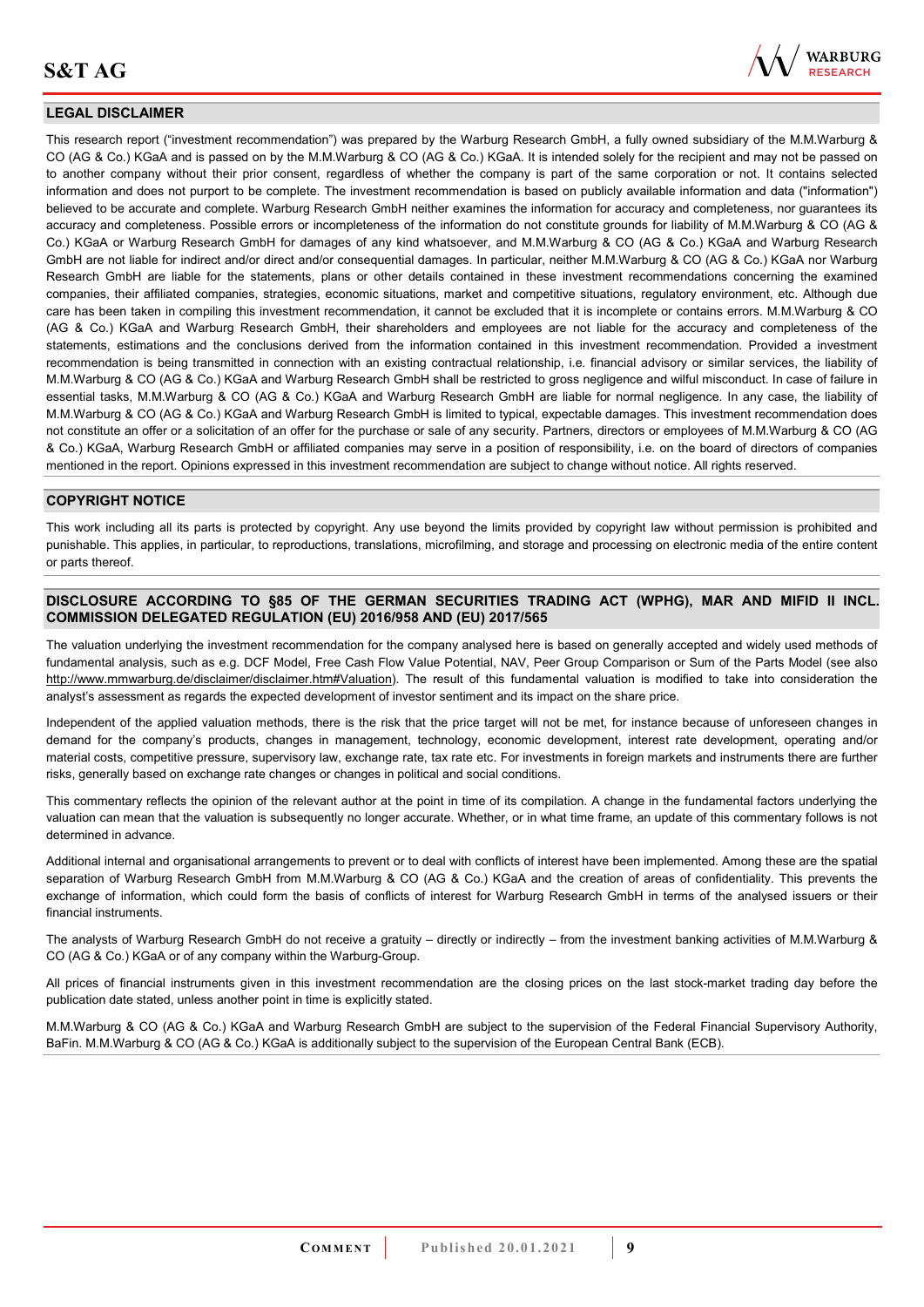![](_page_8_Picture_1.jpeg)

#### **LEGAL DISCLAIMER**

This research report ("investment recommendation") was prepared by the Warburg Research GmbH, a fully owned subsidiary of the M.M.Warburg & CO (AG & Co.) KGaA and is passed on by the M.M.Warburg & CO (AG & Co.) KGaA. It is intended solely for the recipient and may not be passed on to another company without their prior consent, regardless of whether the company is part of the same corporation or not. It contains selected information and does not purport to be complete. The investment recommendation is based on publicly available information and data ("information") believed to be accurate and complete. Warburg Research GmbH neither examines the information for accuracy and completeness, nor guarantees its accuracy and completeness. Possible errors or incompleteness of the information do not constitute grounds for liability of M.M.Warburg & CO (AG & Co.) KGaA or Warburg Research GmbH for damages of any kind whatsoever, and M.M.Warburg & CO (AG & Co.) KGaA and Warburg Research GmbH are not liable for indirect and/or direct and/or consequential damages. In particular, neither M.M.Warburg & CO (AG & Co.) KGaA nor Warburg Research GmbH are liable for the statements, plans or other details contained in these investment recommendations concerning the examined companies, their affiliated companies, strategies, economic situations, market and competitive situations, regulatory environment, etc. Although due care has been taken in compiling this investment recommendation, it cannot be excluded that it is incomplete or contains errors. M.M.Warburg & CO (AG & Co.) KGaA and Warburg Research GmbH, their shareholders and employees are not liable for the accuracy and completeness of the statements, estimations and the conclusions derived from the information contained in this investment recommendation. Provided a investment recommendation is being transmitted in connection with an existing contractual relationship, i.e. financial advisory or similar services, the liability of M.M.Warburg & CO (AG & Co.) KGaA and Warburg Research GmbH shall be restricted to gross negligence and wilful misconduct. In case of failure in essential tasks, M.M.Warburg & CO (AG & Co.) KGaA and Warburg Research GmbH are liable for normal negligence. In any case, the liability of M.M.Warburg & CO (AG & Co.) KGaA and Warburg Research GmbH is limited to typical, expectable damages. This investment recommendation does not constitute an offer or a solicitation of an offer for the purchase or sale of any security. Partners, directors or employees of M.M.Warburg & CO (AG & Co.) KGaA, Warburg Research GmbH or affiliated companies may serve in a position of responsibility, i.e. on the board of directors of companies mentioned in the report. Opinions expressed in this investment recommendation are subject to change without notice. All rights reserved.

#### **COPYRIGHT NOTICE**

This work including all its parts is protected by copyright. Any use beyond the limits provided by copyright law without permission is prohibited and punishable. This applies, in particular, to reproductions, translations, microfilming, and storage and processing on electronic media of the entire content or parts thereof.

#### **DISCLOSURE ACCORDING TO §85 OF THE GERMAN SECURITIES TRADING ACT (WPHG), MAR AND MIFID II INCL. COMMISSION DELEGATED REGULATION (EU) 2016/958 AND (EU) 2017/565**

The valuation underlying the investment recommendation for the company analysed here is based on generally accepted and widely used methods of fundamental analysis, such as e.g. DCF Model, Free Cash Flow Value Potential, NAV, Peer Group Comparison or Sum of the Parts Model (see also [http://www.mmwarburg.de/disclaimer/disclaimer.htm#Valuation\)](http://www.mmwarburg.de/disclaimer/disclaimer.htm#Valuation). The result of this fundamental valuation is modified to take into consideration the analyst's assessment as regards the expected development of investor sentiment and its impact on the share price.

Independent of the applied valuation methods, there is the risk that the price target will not be met, for instance because of unforeseen changes in demand for the company's products, changes in management, technology, economic development, interest rate development, operating and/or material costs, competitive pressure, supervisory law, exchange rate, tax rate etc. For investments in foreign markets and instruments there are further risks, generally based on exchange rate changes or changes in political and social conditions.

This commentary reflects the opinion of the relevant author at the point in time of its compilation. A change in the fundamental factors underlying the valuation can mean that the valuation is subsequently no longer accurate. Whether, or in what time frame, an update of this commentary follows is not determined in advance.

Additional internal and organisational arrangements to prevent or to deal with conflicts of interest have been implemented. Among these are the spatial separation of Warburg Research GmbH from M.M.Warburg & CO (AG & Co.) KGaA and the creation of areas of confidentiality. This prevents the exchange of information, which could form the basis of conflicts of interest for Warburg Research GmbH in terms of the analysed issuers or their financial instruments.

The analysts of Warburg Research GmbH do not receive a gratuity – directly or indirectly – from the investment banking activities of M.M.Warburg & CO (AG & Co.) KGaA or of any company within the Warburg-Group.

All prices of financial instruments given in this investment recommendation are the closing prices on the last stock-market trading day before the publication date stated, unless another point in time is explicitly stated.

M.M.Warburg & CO (AG & Co.) KGaA and Warburg Research GmbH are subject to the supervision of the Federal Financial Supervisory Authority, BaFin. M.M.Warburg & CO (AG & Co.) KGaA is additionally subject to the supervision of the European Central Bank (ECB).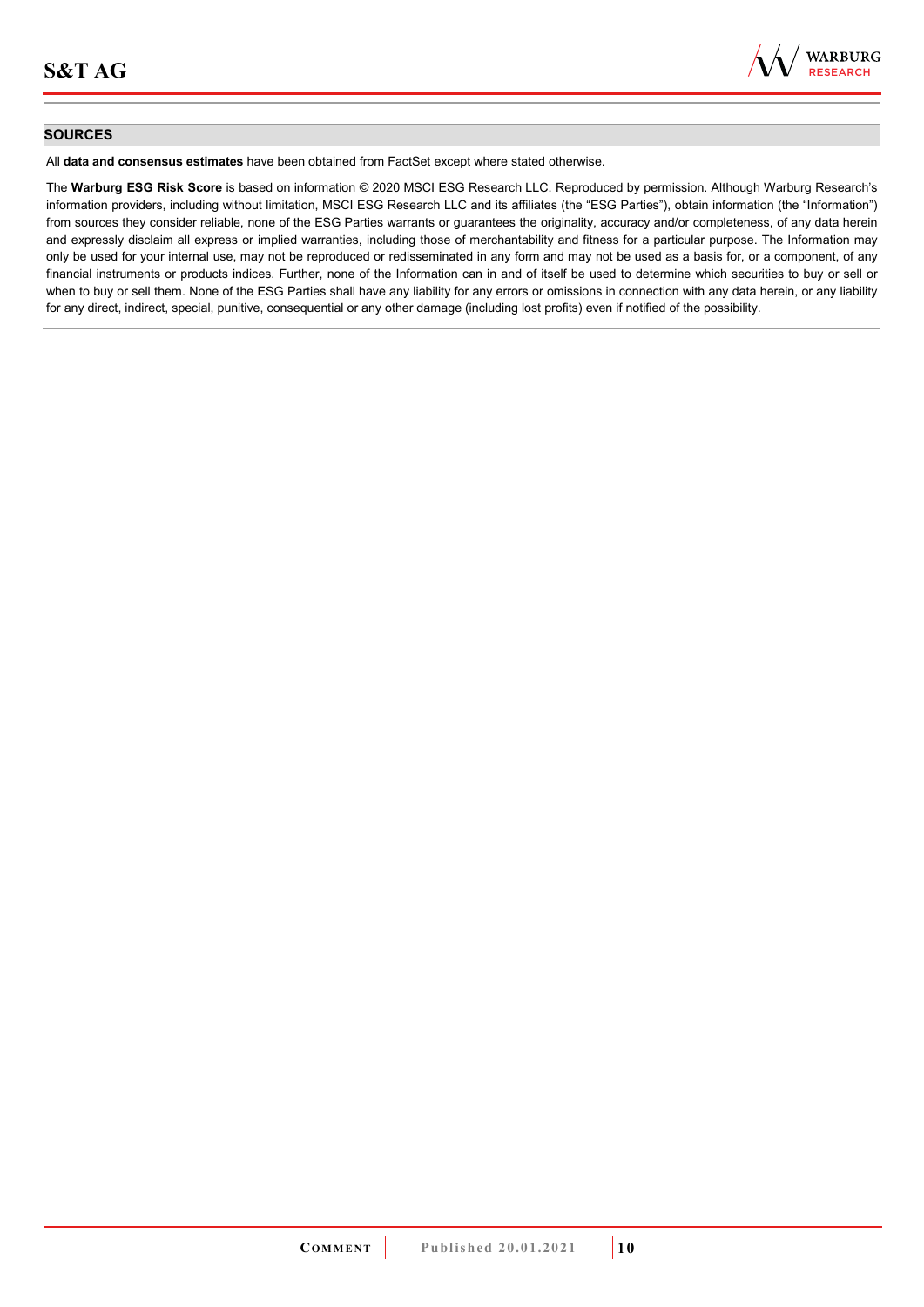![](_page_9_Picture_1.jpeg)

#### **SOURCES**

All **data and consensus estimates** have been obtained from FactSet except where stated otherwise.

The **Warburg ESG Risk Score** is based on information © 2020 MSCI ESG Research LLC. Reproduced by permission. Although Warburg Research's information providers, including without limitation, MSCI ESG Research LLC and its affiliates (the "ESG Parties"), obtain information (the "Information") from sources they consider reliable, none of the ESG Parties warrants or guarantees the originality, accuracy and/or completeness, of any data herein and expressly disclaim all express or implied warranties, including those of merchantability and fitness for a particular purpose. The Information may only be used for your internal use, may not be reproduced or redisseminated in any form and may not be used as a basis for, or a component, of any financial instruments or products indices. Further, none of the Information can in and of itself be used to determine which securities to buy or sell or when to buy or sell them. None of the ESG Parties shall have any liability for any errors or omissions in connection with any data herein, or any liability for any direct, indirect, special, punitive, consequential or any other damage (including lost profits) even if notified of the possibility.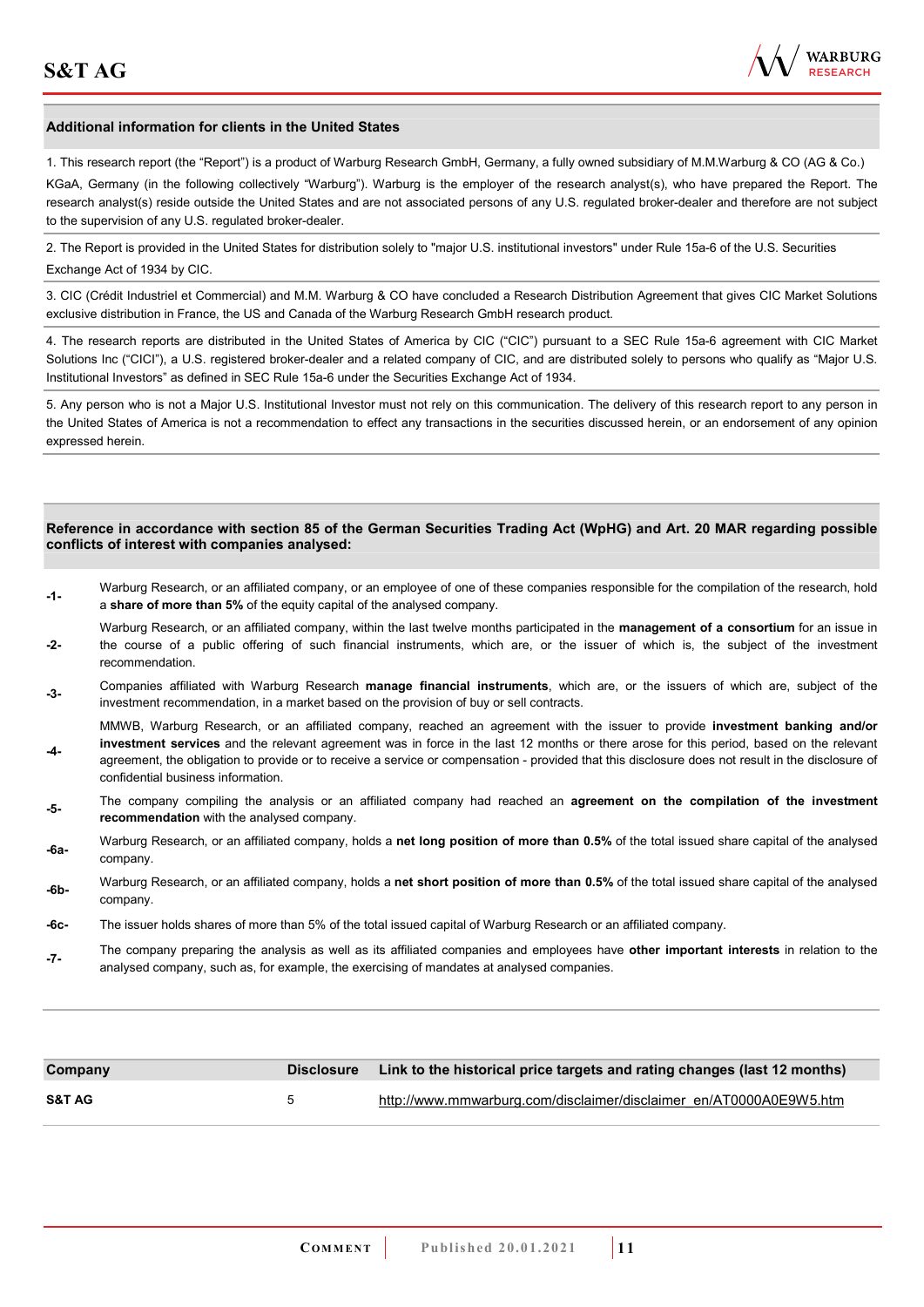**-4-** 

confidential business information.

![](_page_10_Picture_1.jpeg)

#### **Additional information for clients in the United States**

1. This research report (the "Report") is a product of Warburg Research GmbH, Germany, a fully owned subsidiary of M.M.Warburg & CO (AG & Co.)

KGaA, Germany (in the following collectively "Warburg"). Warburg is the employer of the research analyst(s), who have prepared the Report. The research analyst(s) reside outside the United States and are not associated persons of any U.S. regulated broker-dealer and therefore are not subject to the supervision of any U.S. regulated broker-dealer.

2. The Report is provided in the United States for distribution solely to "major U.S. institutional investors" under Rule 15a-6 of the U.S. Securities Exchange Act of 1934 by CIC.

3. CIC (Crédit Industriel et Commercial) and M.M. Warburg & CO have concluded a Research Distribution Agreement that gives CIC Market Solutions exclusive distribution in France, the US and Canada of the Warburg Research GmbH research product.

4. The research reports are distributed in the United States of America by CIC ("CIC") pursuant to a SEC Rule 15a-6 agreement with CIC Market Solutions Inc ("CICI"), a U.S. registered broker-dealer and a related company of CIC, and are distributed solely to persons who qualify as "Major U.S. Institutional Investors" as defined in SEC Rule 15a-6 under the Securities Exchange Act of 1934.

5. Any person who is not a Major U.S. Institutional Investor must not rely on this communication. The delivery of this research report to any person in the United States of America is not a recommendation to effect any transactions in the securities discussed herein, or an endorsement of any opinion expressed herein.

#### **Reference in accordance with section 85 of the German Securities Trading Act (WpHG) and Art. 20 MAR regarding possible conflicts of interest with companies analysed:**

- **-1-** Warburg Research, or an affiliated company, or an employee of one of these companies responsible for the compilation of the research, hold a **share of more than 5%** of the equity capital of the analysed company.
- **-2-**  Warburg Research, or an affiliated company, within the last twelve months participated in the **management of a consortium** for an issue in the course of a public offering of such financial instruments, which are, or the issuer of which is, the subject of the investment recommendation.
- **-3-** Companies affiliated with Warburg Research **manage financial instruments**, which are, or the issuers of which are, subject of the investment recommendation, in a market based on the provision of buy or sell contracts.

MMWB, Warburg Research, or an affiliated company, reached an agreement with the issuer to provide **investment banking and/or investment services** and the relevant agreement was in force in the last 12 months or there arose for this period, based on the relevant agreement, the obligation to provide or to receive a service or compensation - provided that this disclosure does not result in the disclosure of

- **-5-** The company compiling the analysis or an affiliated company had reached an **agreement on the compilation of the investment recommendation** with the analysed company.
- **-6a-** Warburg Research, or an affiliated company, holds a **net long position of more than 0.5%** of the total issued share capital of the analysed company.
- **-6b-** Warburg Research, or an affiliated company, holds a **net short position of more than 0.5%** of the total issued share capital of the analysed company.
- **-6c-** The issuer holds shares of more than 5% of the total issued capital of Warburg Research or an affiliated company.
- **-7-** The company preparing the analysis as well as its affiliated companies and employees have **other important interests** in relation to the analysed company, such as, for example, the exercising of mandates at analysed companies.

| Company           |   | Disclosure Link to the historical price targets and rating changes (last 12 months) |
|-------------------|---|-------------------------------------------------------------------------------------|
| <b>S&amp;T AG</b> | h | http://www.mmwarburg.com/disclaimer/disclaimer_en/AT0000A0E9W5.htm                  |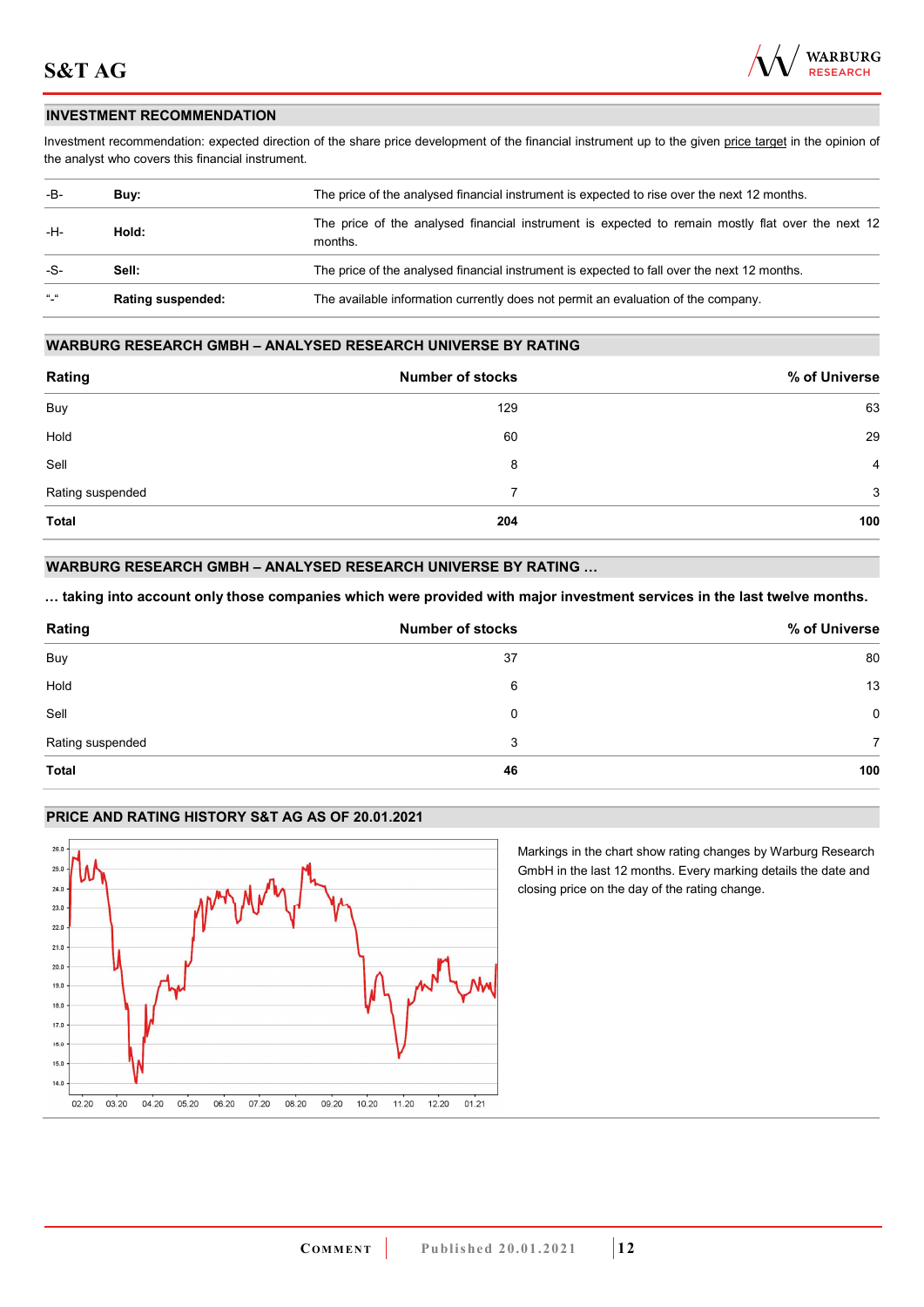![](_page_11_Picture_1.jpeg)

#### **INVESTMENT RECOMMENDATION**

Investment recommendation: expected direction of the share price development of the financial instrument up to the given price target in the opinion of the analyst who covers this financial instrument.

| -B-               | Buy:                     | The price of the analysed financial instrument is expected to rise over the next 12 months.                  |  |
|-------------------|--------------------------|--------------------------------------------------------------------------------------------------------------|--|
| -H-               | Hold:                    | The price of the analysed financial instrument is expected to remain mostly flat over the next 12<br>months. |  |
| -S-               | Sell:                    | The price of the analysed financial instrument is expected to fall over the next 12 months.                  |  |
| $\alpha$ $\alpha$ | <b>Rating suspended:</b> | The available information currently does not permit an evaluation of the company.                            |  |

#### **WARBURG RESEARCH GMBH – ANALYSED RESEARCH UNIVERSE BY RATING**

| Rating           | <b>Number of stocks</b> | % of Universe  |
|------------------|-------------------------|----------------|
| <b>Buy</b>       | 129                     | 63             |
| Hold             | 60                      | 29             |
| Sell             | 8                       | $\overline{4}$ |
| Rating suspended | 7                       | 3              |
| <b>Total</b>     | 204                     | 100            |

### **WARBURG RESEARCH GMBH – ANALYSED RESEARCH UNIVERSE BY RATING …**

**… taking into account only those companies which were provided with major investment services in the last twelve months.** 

| Rating           | <b>Number of stocks</b> | % of Universe |
|------------------|-------------------------|---------------|
| Buy              | 37                      | 80            |
| Hold             | 6                       | 13            |
| Sell             | 0                       | 0             |
| Rating suspended | 3                       |               |
| <b>Total</b>     | 46                      | 100           |

## **PRICE AND RATING HISTORY S&T AG AS OF 20.01.2021**

![](_page_11_Figure_11.jpeg)

Markings in the chart show rating changes by Warburg Research GmbH in the last 12 months. Every marking details the date and closing price on the day of the rating change.